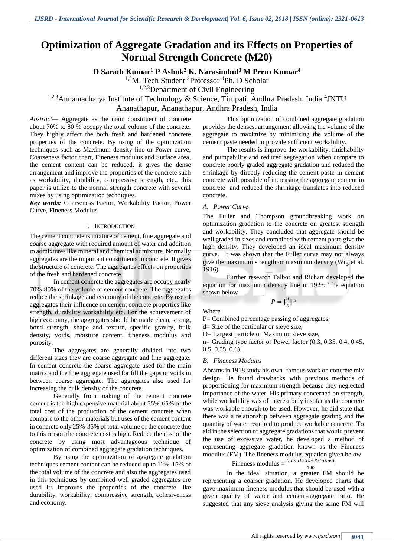# **Optimization of Aggregate Gradation and its Effects on Properties of Normal Strength Concrete (M20)**

**D Sarath Kumar<sup>1</sup> P Ashok<sup>2</sup> K. Narasimhul<sup>3</sup> M Prem Kumar<sup>4</sup>**

<sup>1,2</sup>M. Tech Student <sup>3</sup>Professor <sup>4</sup>Ph. D Scholar

1,2,3Department of Civil Engineering

<sup>1,2,3</sup>Annamacharya Institute of Technology & Science, Tirupati, Andhra Pradesh, India <sup>4</sup>JNTU Ananathapur, Ananathapur, Andhra Pradesh, India

*Abstract—* Aggregate as the main constituent of concrete about 70% to 80 % occupy the total volume of the concrete. They highly affect the both fresh and hardened concrete properties of the concrete. By using of the optimization techniques such as Maximum density line or Power curve, Coarseness factor chart, Fineness modulus and Surface area, the cement content can be reduced, it gives the dense arrangement and improve the properties of the concrete such as workability, durability, compressive strength, etc., this paper is utilize to the normal strength concrete with several mixes by using optimization techniques.

*Key words:* Coarseness Factor, Workability Factor, Power Curve, Fineness Modulus

#### I. INTRODUCTION

The cement concrete is mixture of cement, fine aggregate and coarse aggregate with required amount of water and addition to admixtures like mineral and chemical admixture. Normally aggregates are the important constituents in concrete. It gives the structure of concrete. The aggregates effects on properties of the fresh and hardened concrete.

In cement concrete the aggregates are occupy nearly 70%-80% of the volume of cement concrete. The aggregates reduce the shrinkage and economy of the concrete. By use of aggregates their influence on cement concrete properties like strength, durability workability etc. For the achievement of high economy, the aggregates should be made clean, strong, bond strength, shape and texture, specific gravity, bulk density, voids, moisture content, fineness modulus and porosity.

The aggregates are generally divided into two different sizes they are coarse aggregate and fine aggregate. In cement concrete the coarse aggregate used for the main matrix and the fine aggregate used for fill the gaps or voids in between coarse aggregate. The aggregates also used for increasing the bulk density of the concrete.

Generally from making of the cement concrete cement is the high expensive material about 55%-65% of the total cost of the production of the cement concrete when compare to the other materials but uses of the cement content in concrete only 25%-35% of total volume of the concrete due to this reason the concrete cost is high. Reduce the cost of the concrete by using most advantageous technique of optimization of combined aggregate gradation techniques.

By using the optimization of aggregate gradation techniques cement content can be reduced up to 12%-15% of the total volume of the concrete and also the aggregates used in this techniques by combined well graded aggregates are used its improves the properties of the concrete like durability, workability, compressive strength, cohesiveness and economy.

This optimization of combined aggregate gradation provides the densest arrangement allowing the volume of the aggregate to maximize by minimizing the volume of the cement paste needed to provide sufficient workability.

The results is improve the workability, finishability and pumpability and reduced segregation when compare to concrete poorly graded aggregate gradation and reduced the shrinkage by directly reducing the cement paste in cement concrete with possible of increasing the aggregate content in concrete and reduced the shrinkage translates into reduced concrete.

#### *A. Power Curve*

The Fuller and Thompson groundbreaking work on optimization gradation to the concrete on greatest strength and workability. They concluded that aggregate should be well graded in sizes and combined with cement paste give the high density. They developed an ideal maximum density curve. It was shown that the Fuller curve may not always give the maximum strength or maximum density (Wig et al. 1916).

Further research Talbot and Richart developed the equation for maximum density line in 1923. The equation shown below

> $P = \left[\frac{d}{b}\right]$  $\frac{a}{D}$ ]<sup>n</sup>

Where

P= Combined percentage passing of aggregates,

d= Size of the particular or sieve size,

D= Largest particle or Maximum sieve size,

 $n=$  Grading type factor or Power factor  $(0.3, 0.35, 0.4, 0.45,$ 0.5, 0.55, 0.6).

### *B. Fineness Modulus*

Abrams in 1918 study his own- famous work on concrete mix design. He found drawbacks with previous methods of proportioning for maximum strength because they neglected importance of the water. His primary concerned on strength, while workability was of interest only insofar as the concrete was workable enough to be used. However, he did state that there was a relationship between aggregate grading and the quantity of water required to produce workable concrete. To aid in the selection of aggregate gradations that would prevent the use of excessive water, he developed a method of representing aggregate gradation known as the Fineness modulus (FM). The fineness modulus equation given below

# Fineness modulus  $=$   $\frac{Cumulative \ Retained}{100}$

In the ideal situation, a greater FM should be representing a coarser gradation. He developed charts that gave maximum fineness modulus that should be used with a given quality of water and cement-aggregate ratio. He suggested that any sieve analysis giving the same FM will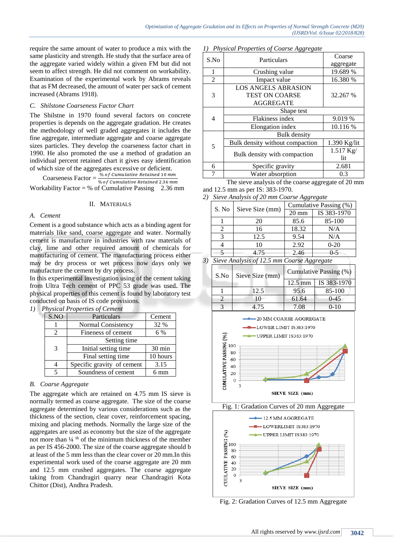require the same amount of water to produce a mix with the same plasticity and strength. He study that the surface area of the aggregate varied widely within a given FM but did not seem to affect strength. He did not comment on workability. Examination of the experimental work by Abrams reveals that as FM decreased, the amount of water per sack of cement increased (Abrams 1918).

#### *C. Shilstone Coarseness Factor Chart*

The Shilstne in 1970 found several factors on concrete properties is depends on the aggregate gradation. He creates the methodology of well graded aggregates it includes the fine aggregate, intermediate aggregate and coarse aggregate sizes particles. They develop the coarseness factor chart in 1990. He also promoted the use a method of gradation an individual percent retained chart it gives easy identification of which size of the aggregates excessive or deficient.

Coarseness Factor  $=$   $\frac{\% of \ cumulative \ Retained \ 10 \ mm}{\% of \ Cumulative \ Patvin \ 1.26 \ mm}$ % of Cumulative Retained 2.36 mm Workability Factor = % of Cumulative Passing  $2.36$  mm

#### II. MATERIALS

## *A. Cement*

Cement is a good substance which acts as a binding agent for materials like sand, coarse aggregate and water. Normally cement is manufacture in industries with raw materials of clay, lime and other required amount of chemicals for manufacturing of cement. The manufacturing process either may be dry process or wet process now days only we manufacture the cement by dry process.

In this experimental investigation using of the cement taking from Ultra Tech cement of PPC 53 grade was used. The physical properties of this cement is found by laboratory test conducted on basis of IS code provisions.

| 1) | <b>Physical Properties of Cement</b> |                            |                  |  |  |  |  |  |  |  |
|----|--------------------------------------|----------------------------|------------------|--|--|--|--|--|--|--|
|    | S.NO                                 | Particulars                | Cement           |  |  |  |  |  |  |  |
|    |                                      | Normal Consistency         | 32 %             |  |  |  |  |  |  |  |
|    |                                      | Fineness of cement         | 6 %              |  |  |  |  |  |  |  |
|    |                                      | Setting time               |                  |  |  |  |  |  |  |  |
|    | 3                                    | Initial setting time       | $30 \text{ min}$ |  |  |  |  |  |  |  |
|    |                                      | Final setting time         | 10 hours         |  |  |  |  |  |  |  |
|    |                                      | Specific gravity of cement | 3.15             |  |  |  |  |  |  |  |
|    |                                      | Soundness of cement        | mm               |  |  |  |  |  |  |  |

### *B. Coarse Aggregate*

The aggregate which are retained on 4.75 mm IS sieve is normally termed as coarse aggregate. The size of the coarse aggregate determined by various considerations such as the thickness of the section, clear cover, reinforcement spacing, mixing and placing methods. Normally the large size of the aggregates are used as economy but the size of the aggregate not more than  $\frac{1}{4}$ <sup>th</sup> of the minimum thickness of the member as per IS 456-2000. The size of the coarse aggregate should b at least of the 5 mm less than the clear cover or 20 mm.In this experimental work used of the coarse aggregate are 20 mm and 12.5 mm crushed aggregates. The coarse aggregate taking from Chandragiri quarry near Chandragiri Kota Chittor (Dist), Andhra Pradesh.

#### *1) Physical Properties of Coarse Aggregate*

| S.No           | Particulars                     | Coarse             |  |  |
|----------------|---------------------------------|--------------------|--|--|
|                |                                 | aggregate          |  |  |
| 1              | Crushing value                  | 19.689 %           |  |  |
| $\overline{2}$ | Impact value                    | 16.380 %           |  |  |
|                | <b>LOS ANGELS ABRASION</b>      |                    |  |  |
| 3              | <b>TEST ON COARSE</b>           | 32.267 %           |  |  |
|                | <b>AGGREGATE</b>                |                    |  |  |
|                | Shape test                      |                    |  |  |
| 4              | Flakiness index                 | 9.019 %            |  |  |
|                | Elongation index                | 10.116 %           |  |  |
|                | Bulk density                    |                    |  |  |
| 5              | Bulk density without compaction | 1.390 Kg/lit       |  |  |
|                |                                 | $1.517 \text{ Kg}$ |  |  |
|                | Bulk density with compaction    | lit                |  |  |
| 6              | Specific gravity                | 2.681              |  |  |
| 7              | Water absorption                | 0.3                |  |  |

The sieve analysis of the coarse aggregate of 20 mm and 12.5 mm as per IS: 383-1970.

*2) Sieve Analysis of 20 mm Coarse Aggregate*

| S. No | Sieve Size (mm) | Cumulative Passing (%) |             |  |  |  |
|-------|-----------------|------------------------|-------------|--|--|--|
|       |                 | $20 \text{ mm}$        | IS 383-1970 |  |  |  |
|       | 20              | 85.6                   | 85-100      |  |  |  |
|       | 16              | 18.32                  | N/A         |  |  |  |
|       | 12.5            | 9.54                   | N/A         |  |  |  |
|       | 10              | 2.92                   | $0 - 20$    |  |  |  |
|       | 4.75            | 2.46                   | $0 - 5$     |  |  |  |

*3) Sieve Analysis of 12.5 mm Coarse Aggregate*

| S.No | Sieve Size (mm) | Cumulative Passing (%) |             |  |  |  |
|------|-----------------|------------------------|-------------|--|--|--|
|      |                 | $12.5 \text{ mm}$      | IS 383-1970 |  |  |  |
|      | 12.5            | 95.6                   | 85-100      |  |  |  |
|      | 10              | 61.64                  | $0 - 45$    |  |  |  |
|      | 4 75            | 7.08                   | $0-10$      |  |  |  |





Fig. 2: Gradation Curves of 12.5 mm Aggregate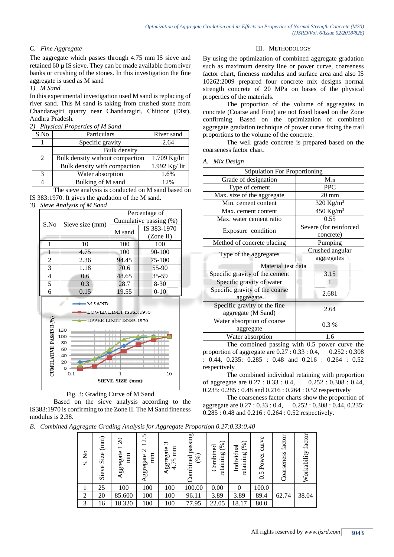*A. Mix Design*

# *C. Fine Aggregate*

The aggregate which passes through 4.75 mm IS sieve and retained 60 µ IS sieve. They can be made available from river banks or crushing of the stones. In this investigation the fine aggregate is used as M sand

## *1) M Sand*

In this experimental investigation used M sand is replacing of river sand. This M sand is taking from crushed stone from Chandaragiri quarry near Chandaragiri, Chittoor (Dist), Andhra Pradesh.

*2) Physical Properties of M Sand*

| S.No         | Particulars                     | River sand      |
|--------------|---------------------------------|-----------------|
|              | Specific gravity                | 2.64            |
|              | <b>Bulk</b> density             |                 |
| 2            | Bulk density without compaction | 1.709 Kg/lit    |
|              | Bulk density with compaction    | $1.992$ Kg/ lit |
| $\mathbf{R}$ | Water absorption                | 1.6%            |
|              | Bulking of M sand               | 12%             |

The sieve analysis is conducted on M sand based on IS 383:1970. It gives the gradation of the M sand.

*3) Sieve Analysis of M Sand*





Based on the sieve analysis according to the IS383:1970 is confirming to the Zone II. The M Sand fineness modulus is 2.38.

*B. Combined Aggregate Grading Analysis for Aggregate Proportion 0.27:0.33:0.40* 

| $\tilde{\mathsf{x}}$<br>$\dot{\mathbf{v}}$ | (mm)<br>Size<br>Sieve | $\Omega$<br>$\overline{\phantom{0}}$<br>ggregate<br>mm<br>⋖ | 5<br>$\mathbf{\Omega}$<br>$\overline{\phantom{0}}$<br>$\mathbf{\Omega}$<br>mm<br>ggregate | $\epsilon$<br>mm<br>ggregate<br>5<br>$\overline{ }$<br>$\overline{4}$ | passing<br>(%)<br>Combined | $(\%)$<br>Combined<br>retaining | (%)<br>Individual<br><b>b</b><br>retainin | curve<br>Power<br>0.5 | factor<br>Coarseness | factor<br>Workability |
|--------------------------------------------|-----------------------|-------------------------------------------------------------|-------------------------------------------------------------------------------------------|-----------------------------------------------------------------------|----------------------------|---------------------------------|-------------------------------------------|-----------------------|----------------------|-----------------------|
|                                            | 25                    | 100                                                         | 100                                                                                       | 100                                                                   | 100.00                     | 0.00                            | $\theta$                                  | 100.0                 |                      |                       |
| 2                                          | 20                    | 85.600                                                      | 100                                                                                       | 100                                                                   | 96.11                      | 3.89                            | 3.89                                      | 89.4                  | 62.74                | 38.04                 |
| 3                                          | 16                    | 18.320                                                      | 100                                                                                       | 100                                                                   | 77.95                      | 22.05                           | 18.17                                     | 80.0                  |                      |                       |

### III. METHODOLOGY

By using the optimization of combined aggregate gradation such as maximum density line or power curve, coarseness factor chart, fineness modulus and surface area and also IS 10262:2009 prepared four concrete mix designs normal strength concrete of 20 MPa on bases of the physical properties of the materials.

The proportion of the volume of aggregates in concrete (Coarse and Fine) are not fixed based on the Zone confirming. Based on the optimization of combined aggregate gradation technique of power curve fixing the trail proportions to the volume of the concrete.

The well grade concrete is prepared based on the coarseness factor chart.

| <b>Stipulation For Proportioning</b>               |                                     |  |  |  |  |
|----------------------------------------------------|-------------------------------------|--|--|--|--|
| Grade of designation                               | $M_{20}$                            |  |  |  |  |
| Type of cement                                     | <b>PPC</b>                          |  |  |  |  |
| Max. size of the aggregate                         | $20 \text{ mm}$                     |  |  |  |  |
| Min. cement content                                | 320 Kg/m <sup>3</sup>               |  |  |  |  |
| Max. cement content                                | $450$ Kg/m <sup>3</sup>             |  |  |  |  |
| Max. water cement ratio                            | 0.55                                |  |  |  |  |
| Exposure condition                                 | Severe (for reinforced<br>concrete) |  |  |  |  |
| Method of concrete placing                         | Pumping                             |  |  |  |  |
| Type of the aggregates                             | Crushed angular<br>aggregates       |  |  |  |  |
| Material test data                                 |                                     |  |  |  |  |
| Specific gravity of the cement                     | 3.15                                |  |  |  |  |
| Specific gravity of water                          |                                     |  |  |  |  |
| Specific gravity of the coarse<br>aggregate        | 2.681                               |  |  |  |  |
| Specific gravity of the fine<br>aggregate (M Sand) | 2.64                                |  |  |  |  |
| Water absorption of coarse<br>aggregate            | $0.3\%$                             |  |  |  |  |
| Water absorption                                   | 1.6                                 |  |  |  |  |
|                                                    |                                     |  |  |  |  |

The combined passing with 0.5 power curve the proportion of aggregate are 0.27 : 0.33 : 0.4, 0.252 : 0.308 : 0.44, 0.235: 0.285 : 0.48 and 0.216 : 0.264 : 0.52 respectively

The combined individual retaining with proportion of aggregate are 0.27 : 0.33 : 0.4, 0.252 : 0.308 : 0.44, 0.235: 0.285 : 0.48 and 0.216 : 0.264 : 0.52 respectively

The coarseness factor charts show the proportion of aggregate are 0.27 : 0.33 : 0.4, 0.252 : 0.308 : 0.44, 0.235: 0.285 : 0.48 and 0.216 : 0.264 : 0.52 respectively.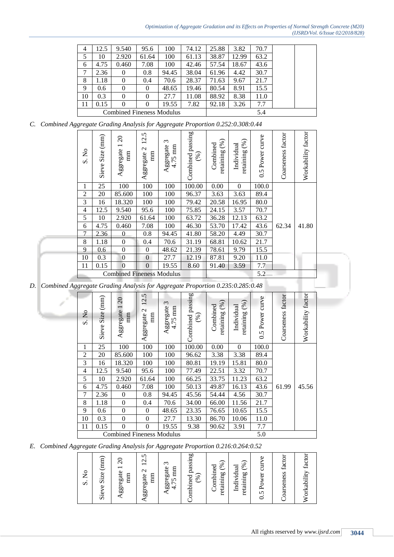| 4                                | 12.5 | 9.540    | 95.6           | 100   | 74.12 | 25.88 | 3.82  | 70.7 |  |
|----------------------------------|------|----------|----------------|-------|-------|-------|-------|------|--|
| 5                                | 10   | 2.920    | 61.64          | 100   | 61.13 | 38.87 | 12.99 | 63.2 |  |
| 6                                | 4.75 | 0.460    | 7.08           | 100   | 42.46 | 57.54 | 18.67 | 43.6 |  |
| 7                                | 2.36 | 0        | 0.8            | 94.45 | 38.04 | 61.96 | 4.42  | 30.7 |  |
| 8                                | 1.18 | 0        | 0.4            | 70.6  | 28.37 | 71.63 | 9.67  | 21.7 |  |
| 9                                | 0.6  | 0        | $\overline{0}$ | 48.65 | 19.46 | 80.54 | 8.91  | 15.5 |  |
| 10                               | 0.3  | $\theta$ | $\theta$       | 27.7  | 11.08 | 88.92 | 8.38  | 11.0 |  |
| 11                               | 0.15 | $\Omega$ | $\theta$       | 19.55 | 7.82  | 92.18 | 3.26  | 7.7  |  |
| <b>Combined Fineness Modulus</b> |      |          |                |       |       |       |       | 5.4  |  |
|                                  |      |          |                |       |       |       |       |      |  |

*C. Combined Aggregate Grading Analysis for Aggregate Proportion 0.252:0.308:0.44*

| ż<br>$\vec{\bm{\omega}}$ | $\left( \min \right)$<br>Size<br>Sieve | Aggregate 1 20<br>mm             | 12.5<br>$\mathcal{L}$<br>mm<br>Aggregate | $\epsilon$<br>Aggregate<br>mm<br>4.75 | Combined passing<br>(%) | (%)<br>Combined<br>retaining | (%)<br>Individual<br>retaining | curve<br>0.5 Power | Coarseness factor | Workability factor |
|--------------------------|----------------------------------------|----------------------------------|------------------------------------------|---------------------------------------|-------------------------|------------------------------|--------------------------------|--------------------|-------------------|--------------------|
| 1                        | 25                                     | 100                              | 100                                      | 100                                   | 100.00                  | 0.00                         | $\mathbf{0}$                   | 100.0              |                   |                    |
| $\overline{2}$           | 20                                     | 85.600                           | 100                                      | 100                                   | 96.37                   | 3.63                         | 3.63                           | 89.4               |                   |                    |
| 3                        | 16                                     | 18.320                           | 100                                      | 100                                   | 79.42                   | 20.58                        | 16.95                          | 80.0               |                   |                    |
| 4                        | 12.5                                   | 9.540                            | 95.6                                     | 100                                   | 75.85                   | 24.15                        | 3.57                           | 70.7               |                   |                    |
| 5                        | 10                                     | 2.920                            | 61.64                                    | 100                                   | 63.72                   | 36.28                        | 12.13                          | 63.2               |                   |                    |
| 6                        | 4.75                                   | 0.460                            | 7.08                                     | 100                                   | 46.30                   | 53.70                        | 17.42                          | 43.6               | 62.34             | 41.80              |
| 7                        | 2.36                                   | 0                                | 0.8                                      | 94.45                                 | 41.80                   | 58.20                        | 4.49                           | 30.7               |                   |                    |
| 8                        | 1.18                                   | $\boldsymbol{0}$                 | 0.4                                      | 70.6                                  | 31.19                   | 68.81                        | 10.62                          | 21.7               |                   |                    |
| 9                        | 0.6                                    | $\boldsymbol{0}$                 | $\boldsymbol{0}$                         | 48.62                                 | 21.39                   | 78.61                        | 9.79                           | 15.5               |                   |                    |
| 10                       | 0.3                                    | $\boldsymbol{0}$                 | $\boldsymbol{0}$                         | 27.7                                  | 12.19                   | 87.81                        | 9.20                           | 11.0               |                   |                    |
| 11                       | 0.15                                   | $\mathbf{0}$                     | $\boldsymbol{0}$                         | 19.55                                 | 8.60                    | 91.40                        | 3.59                           | 7.7                |                   |                    |
|                          |                                        | <b>Combined Fineness Modulus</b> |                                          |                                       |                         |                              | 5.2                            |                    |                   |                    |

*D. Combined Aggregate Grading Analysis for Aggregate Proportion 0.235:0.285:0.48*

| S.No           | (mm)<br>Size<br>Sieve | $\Omega$<br>Aggregate<br>mm      | 12.5<br>$\mathbf{C}$<br>m<br>Aggregate | $\tilde{\phantom{0}}$<br>Aggregate<br>4.75 mm | Combined passing<br>$(\%)$ | (%)<br>Combined<br>retaining | (%)<br>Individual<br>retaining | 0.5 Power curve | Coarseness factor | Workability factor |
|----------------|-----------------------|----------------------------------|----------------------------------------|-----------------------------------------------|----------------------------|------------------------------|--------------------------------|-----------------|-------------------|--------------------|
| 1              | 25                    | 100                              | 100                                    | 100                                           | 100.00                     | 0.00                         | $\mathbf{0}$                   | 100.0           |                   |                    |
| $\overline{2}$ | 20                    | 85.600                           | 100                                    | 100                                           | 96.62                      | 3.38                         | 3.38                           | 89.4            |                   |                    |
| 3              | 16                    | 18.320                           | 100                                    | 100                                           | 80.81                      | 19.19                        | 15.81                          | 80.0            |                   |                    |
| 4              | 12.5                  | 9.540                            | 95.6                                   | 100                                           | 77.49                      | 22.51                        | 3.32                           | 70.7            |                   |                    |
| 5              | 10                    | 2.920                            | 61.64                                  | 100                                           | 66.25                      | 33.75                        | 11.23                          | 63.2            |                   |                    |
| 6              | 4.75                  | 0.460                            | 7.08                                   | 100                                           | 50.13                      | 49.87                        | 16.13                          | 43.6            | 61.99             | 45.56              |
| 7              | 2.36                  | $\mathbf{0}$                     | 0.8                                    | 94.45                                         | 45.56                      | 54.44                        | 4.56                           | 30.7            |                   |                    |
| 8              | 1.18                  | $\overline{0}$                   | 0.4                                    | 70.6                                          | 34.00                      | 66.00                        | 11.56                          | 21.7            |                   |                    |
| 9              | 0.6                   | $\boldsymbol{0}$                 | $\mathbf{0}$                           | 48.65                                         | 23.35                      | 76.65                        | 10.65                          | 15.5            |                   |                    |
| 10             | 0.3                   | $\boldsymbol{0}$                 | $\boldsymbol{0}$                       | 27.7                                          | 13.30                      | 86.70                        | 10.06                          | 11.0            |                   |                    |
| 11             | 0.15                  | $\boldsymbol{0}$                 | $\theta$                               | 19.55                                         | 9.38                       | 90.62                        | 3.91                           | 7.7             |                   |                    |
|                |                       | <b>Combined Fineness Modulus</b> |                                        |                                               | 5.0                        |                              |                                |                 |                   |                    |

*E. Combined Aggregate Grading Analysis for Aggregate Proportion 0.216:0.264:0.52*

| S. No |
|-------|
|-------|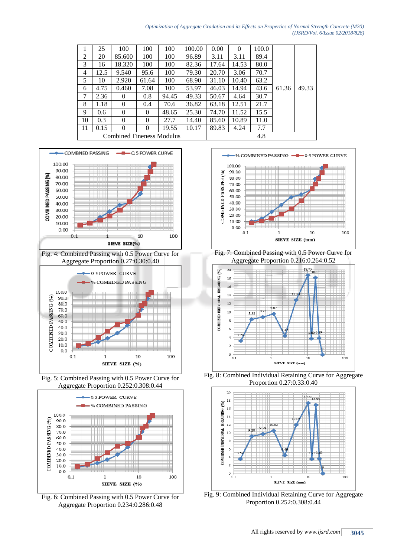*Optimization of Aggregate Gradation and its Effects on Properties of Normal Strength Concrete (M20) (IJSRD/Vol. 6/Issue 02/2018/828)*

|    | 25   | 100                              | 100      | 100   | 100.00 | 0.00  | $\theta$ | 100.0 |       |       |
|----|------|----------------------------------|----------|-------|--------|-------|----------|-------|-------|-------|
| 2  | 20   | 85.600                           | 100      | 100   | 96.89  | 3.11  | 3.11     | 89.4  |       |       |
| 3  | 16   | 18.320                           | 100      | 100   | 82.36  | 17.64 | 14.53    | 80.0  |       |       |
| 4  | 12.5 | 9.540                            | 95.6     | 100   | 79.30  | 20.70 | 3.06     | 70.7  | 61.36 | 49.33 |
| 5  | 10   | 2.920                            | 61.64    | 100   | 68.90  | 31.10 | 10.40    | 63.2  |       |       |
| 6  | 4.75 | 0.460                            | 7.08     | 100   | 53.97  | 46.03 | 14.94    | 43.6  |       |       |
| 7  | 2.36 | $\Omega$                         | 0.8      | 94.45 | 49.33  | 50.67 | 4.64     | 30.7  |       |       |
| 8  | 1.18 | $\Omega$                         | 0.4      | 70.6  | 36.82  | 63.18 | 12.51    | 21.7  |       |       |
| 9  | 0.6  | $\Omega$                         | 0        | 48.65 | 25.30  | 74.70 | 11.52    | 15.5  |       |       |
| 10 | 0.3  | $\Omega$                         | $\theta$ | 27.7  | 14.40  | 85.60 | 10.89    | 11.0  |       |       |
| 11 | 0.15 | $\Omega$                         | $\theta$ | 19.55 | 10.17  | 89.83 | 4.24     | 7.7   |       |       |
|    |      | <b>Combined Fineness Modulus</b> |          |       |        |       | 4.8      |       |       |       |
|    |      |                                  |          |       |        |       |          |       |       |       |



Fig. 5: Combined Passing with 0.5 Power Curve for Aggregate Proportion 0.252:0.308:0.44

SIEVE SIZE (%)

 $\mathbf{1}$ 

10

100

 $0.1$ 



Fig. 6: Combined Passing with 0.5 Power Curve for Aggregate Proportion 0.234:0.286:0.48



Fig. 7: Combined Passing with 0.5 Power Curve for Aggregate Proportion 0.216:0.264:0.52



Fig. 8: Combined Individual Retaining Curve for Aggregate Proportion 0.27:0.33:0.40



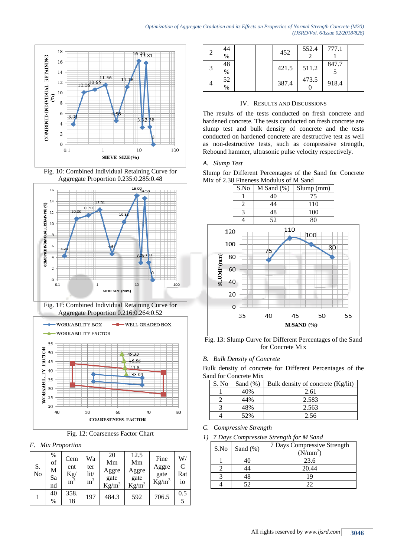









Fig. 12: Coarseness Factor Chart

*F. Mix Proportion*

| S.<br>No | %<br>of<br>М<br>Sa<br>nd | Cem<br>ent<br>$\rm Kg/$<br>$\overline{m}^3$ | Wa<br>ter<br>lit/<br>m <sup>3</sup> | 20<br>Mm<br>Aggre<br>gate<br>$Kg/m^3$ | 12.5<br>Mm<br>Aggre<br>gate<br>$Kg/m^3$ | Fine<br>Aggre<br>gate<br>$Kg/m^3$ | W/<br>$\mathcal{C}$<br>Rat<br>io |
|----------|--------------------------|---------------------------------------------|-------------------------------------|---------------------------------------|-----------------------------------------|-----------------------------------|----------------------------------|
|          | 40<br>$\%$               | 358.<br>18                                  | 197                                 | 484.3                                 | 592                                     | 706.5                             | 0.5                              |

| $\overline{2}$ | 44<br>$\%$          |  | 452   | 552.4 | 777.1 |  |
|----------------|---------------------|--|-------|-------|-------|--|
| 3              | 48<br>$\%$          |  | 421.5 | 511.2 | 847.7 |  |
|                | 52<br>$\frac{0}{0}$ |  | 387.4 | 473.5 | 918.4 |  |

# IV. RESULTS AND DISCUSSIONS

The results of the tests conducted on fresh concrete and hardened concrete. The tests conducted on fresh concrete are slump test and bulk density of concrete and the tests conducted on hardened concrete are destructive test as well as non-destructive tests, such as compressive strength, Rebound hammer, ultrasonic pulse velocity respectively.

### *A. Slump Test*





Fig. 13: Slump Curve for Different Percentages of the Sand for Concrete Mix

# *B. Bulk Density of Concrete*

Bulk density of concrete for Different Percentages of the Sand for Concrete Mix

| S. No | Sand $(\%)$ | Bulk density of concrete (Kg/lit) |
|-------|-------------|-----------------------------------|
|       | 40%         | 2.61                              |
|       | 44%         | 2.583                             |
|       | 48%         | 2.563                             |
|       | 52%         | 2.56                              |

*C. Compressive Strength*

*1) 7 Days Compressive Strength for M Sand*

| S.No | Sand $(\%)$ | 7 Days Compressive Strength<br>(N/mm <sup>2</sup> ) |
|------|-------------|-----------------------------------------------------|
|      | 40          | 23.6                                                |
|      |             | 20.44                                               |
|      |             | 19                                                  |
|      |             | າາ                                                  |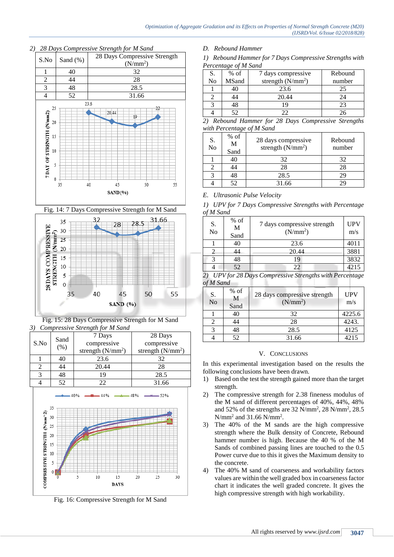

# *2) 28 Days Compressive Strength for M Sand*



Fig. 15: 28 Days Compressive Strength for M Sand *3) Compressive Strength for M Sand*

|      | Sand | 7 Days              | 28 Days             |
|------|------|---------------------|---------------------|
| S.No | (% ) | compressive         | compressive         |
|      |      | strength $(N/mm^2)$ | strength $(N/mm^2)$ |
|      | 40   | 23.6                | 32                  |
|      |      | 20.44               | 28                  |
|      | 48   | 19                  | 28.5                |
|      | 52   | 22                  | 31.66               |



Fig. 16: Compressive Strength for M Sand

*D. Rebound Hammer* 

*1) Rebound Hammer for 7 Days Compressive Strengths with Percentage of M Sand*

| S. | $%$ of | 7 days compressive  | Rebound |
|----|--------|---------------------|---------|
| No | MSand  | strength $(N/mm^2)$ | number  |
|    |        | 23.6                | 25      |
|    |        | 20.44               | 24      |
|    |        |                     | 23      |
|    |        |                     |         |

*2) Rebound Hammer for 28 Days Compressive Strengths with Percentage of M Sand*

| S.<br>N <sub>0</sub> | $%$ of<br>M<br>Sand | 28 days compressive<br>strength $(N/mm^2)$ | Rebound<br>number |
|----------------------|---------------------|--------------------------------------------|-------------------|
|                      | 40                  | 32                                         | 32                |
|                      | 14                  | 28                                         | 28                |
|                      | 48                  | 28.5                                       | 29                |
|                      | 52                  | 31.66                                      |                   |

# *E. Ultrasonic Pulse Velocity*

*1) UPV for 7 Days Compressive Strengths with Percentage of M Sand*

| S.<br>No                | $%$ of<br>M<br>Sand | 7 days compressive strength<br>(N/mm <sup>2</sup> ) | <b>UPV</b><br>m/s |  |  |  |
|-------------------------|---------------------|-----------------------------------------------------|-------------------|--|--|--|
|                         | 40                  | 23.6                                                | 4011              |  |  |  |
|                         | 44                  | 20.44                                               | 3881              |  |  |  |
|                         | 48                  | 19                                                  | 3832              |  |  |  |
|                         | 52                  | 22                                                  | 4215              |  |  |  |
| IIDUf00D00<br>$\bigcap$ |                     |                                                     |                   |  |  |  |

*2) UPV for 28 Days Compressive Strengths with Percentage of M Sand* m

| S.<br>N <sub>o</sub> | $%$ of<br>M<br>Sand | 28 days compressive strength<br>(N/mm <sup>2</sup> ) | <b>UPV</b><br>m/s |
|----------------------|---------------------|------------------------------------------------------|-------------------|
|                      | 40                  | 32                                                   | 4225.6            |
|                      | 44                  | 28                                                   | 4243.             |
|                      | 48                  | 28.5                                                 | 4125              |
|                      | 52                  | 31.66                                                | 4215              |

### V. CONCLUSIONS

In this experimental investigation based on the results the following conclusions have been drawn.

- 1) Based on the test the strength gained more than the target strength.
- 2) The compressive strength for 2.38 fineness modulus of the M sand of different percentages of 40%, 44%, 48% and 52% of the strengths are 32 N/mm<sup>2</sup> , 28 N/mm<sup>2</sup> , 28.5  $N/mm<sup>2</sup>$  and 31.66  $N/mm<sup>2</sup>$ .
- 3) The 40% of the M sands are the high compressive strength where the Bulk density of Concrete, Rebound hammer number is high. Because the 40 % of the M Sands of combined passing lines are touched to the 0.5 Power curve due to this it gives the Maximum density to the concrete.
- 4) The 40% M sand of coarseness and workability factors values are within the well graded box in coarseness factor chart it indicates the well graded concrete. It gives the high compressive strength with high workability.